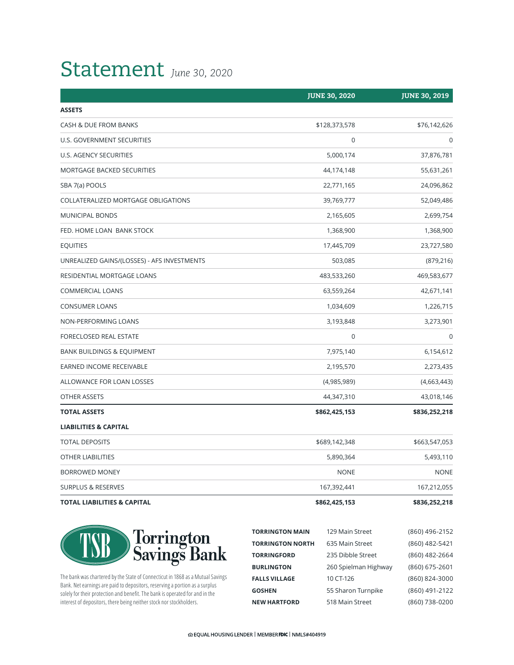## Statement *June 30, 2020*

|                                             | <b>JUNE 30, 2020</b> | <b>JUNE 30, 2019</b> |
|---------------------------------------------|----------------------|----------------------|
| <b>ASSETS</b>                               |                      |                      |
| CASH & DUE FROM BANKS                       | \$128,373,578        | \$76,142,626         |
| U.S. GOVERNMENT SECURITIES                  | $\mathbf 0$          | 0                    |
| U.S. AGENCY SECURITIES                      | 5,000,174            | 37,876,781           |
| MORTGAGE BACKED SECURITIES                  | 44,174,148           | 55,631,261           |
| SBA 7(a) POOLS                              | 22,771,165           | 24,096,862           |
| COLLATERALIZED MORTGAGE OBLIGATIONS         | 39,769,777           | 52,049,486           |
| <b>MUNICIPAL BONDS</b>                      | 2,165,605            | 2,699,754            |
| FED. HOME LOAN BANK STOCK                   | 1,368,900            | 1,368,900            |
| <b>EQUITIES</b>                             | 17,445,709           | 23,727,580           |
| UNREALIZED GAINS/(LOSSES) - AFS INVESTMENTS | 503,085              | (879, 216)           |
| RESIDENTIAL MORTGAGE LOANS                  | 483,533,260          | 469,583,677          |
| <b>COMMERCIAL LOANS</b>                     | 63,559,264           | 42,671,141           |
| <b>CONSUMER LOANS</b>                       | 1,034,609            | 1,226,715            |
| NON-PERFORMING LOANS                        | 3,193,848            | 3,273,901            |
| FORECLOSED REAL ESTATE                      | $\pmb{0}$            | $\Omega$             |
| <b>BANK BUILDINGS &amp; EQUIPMENT</b>       | 7,975,140            | 6,154,612            |
| EARNED INCOME RECEIVABLE                    | 2,195,570            | 2,273,435            |
| ALLOWANCE FOR LOAN LOSSES                   | (4,985,989)          | (4,663,443)          |
| OTHER ASSETS                                | 44,347,310           | 43,018,146           |
| <b>TOTAL ASSETS</b>                         | \$862,425,153        | \$836,252,218        |
| <b>LIABILITIES &amp; CAPITAL</b>            |                      |                      |
| <b>TOTAL DEPOSITS</b>                       | \$689,142,348        | \$663,547,053        |
| OTHER LIABILITIES                           | 5,890,364            | 5,493,110            |
| <b>BORROWED MONEY</b>                       | <b>NONE</b>          | <b>NONE</b>          |
| <b>SURPLUS &amp; RESERVES</b>               | 167,392,441          | 167,212,055          |
| <b>TOTAL LIABILITIES &amp; CAPITAL</b>      | \$862,425,153        | \$836,252,218        |



The bank was chartered by the State of Connecticut in 1868 as a Mutual Savings Bank. Net earnings are paid to depositors, reserving a portion as a surplus solely for their protection and benefit. The bank is operated for and in the interest of depositors, there being neither stock nor stockholders.

| <b>TORRINGTON MAIN</b>  | 129 Main Street      | (860) 496-2152 |
|-------------------------|----------------------|----------------|
| <b>TORRINGTON NORTH</b> | 635 Main Street      | (860) 482-5421 |
| <b>TORRINGFORD</b>      | 235 Dibble Street    | (860) 482-2664 |
| <b>BURLINGTON</b>       | 260 Spielman Highway | (860) 675-2601 |
| <b>FALLS VILLAGE</b>    | 10 CT-126            | (860) 824-3000 |
| <b>GOSHEN</b>           | 55 Sharon Turnpike   | (860) 491-2122 |
| <b>NEW HARTFORD</b>     | 518 Main Street      | (860) 738-0200 |